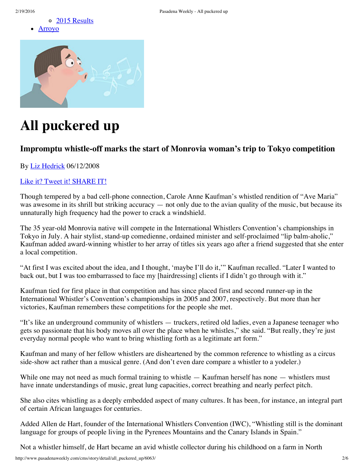



# **All puckered up**

## **Impromptu whistle-off marks the start of Monrovia woman's trip to Tokyo competition**

By Liz [Hedrick](http://www.pasadenaweekly.com/cms/story/author/liz_hedrick/402) 06/12/2008

#### Like it? Tweet it! [SHARE](javascript://) IT!

Though tempered by a bad cell-phone connection, Carole Anne Kaufman's whistled rendition of "Ave Maria" was awesome in its shrill but striking accuracy — not only due to the avian quality of the music, but because its unnaturally high frequency had the power to crack a windshield.

The 35 year-old Monrovia native will compete in the International Whistlers Convention's championships in Tokyo in July. A hair stylist, stand-up comedienne, ordained minister and self-proclaimed "lip balm-aholic," Kaufman added award-winning whistler to her array of titles six years ago after a friend suggested that she enter a local competition.

"At first I was excited about the idea, and I thought, 'maybe I'll do it,'" Kaufman recalled. "Later I wanted to back out, but I was too embarrassed to face my [hairdressing] clients if I didn't go through with it."

Kaufman tied for first place in that competition and has since placed first and second runner-up in the International Whistler's Convention's championships in 2005 and 2007, respectively. But more than her victories, Kaufman remembers these competitions for the people she met.

"It's like an underground community of whistlers — truckers, retired old ladies, even a Japanese teenager who gets so passionate that his body moves all over the place when he whistles," she said. "But really, they're just everyday normal people who want to bring whistling forth as a legitimate art form."

Kaufman and many of her fellow whistlers are disheartened by the common reference to whistling as a circus side-show act rather than a musical genre. (And don't even dare compare a whistler to a yodeler.)

While one may not need as much formal training to whistle — Kaufman herself has none — whistlers must have innate understandings of music, great lung capacities, correct breathing and nearly perfect pitch.

She also cites whistling as a deeply embedded aspect of many cultures. It has been, for instance, an integral part of certain African languages for centuries.

Added Allen de Hart, founder of the International Whistlers Convention (IWC), "Whistling still is the dominant language for groups of people living in the Pyrenees Mountains and the Canary Islands in Spain."

Not a whistler himself, de Hart became an avid whistle collector during his childhood on a farm in North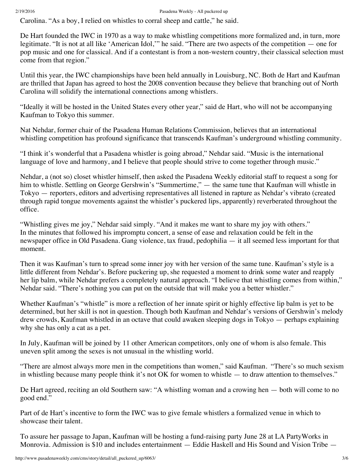Carolina. "As a boy, I relied on whistles to corral sheep and cattle," he said.

De Hart founded the IWC in 1970 as a way to make whistling competitions more formalized and, in turn, more legitimate. "It is not at all like 'American Idol,'" he said. "There are two aspects of the competition — one for pop music and one for classical. And if a contestant is from a non-western country, their classical selection must come from that region."

Until this year, the IWC championships have been held annually in Louisburg, NC. Both de Hart and Kaufman are thrilled that Japan has agreed to host the 2008 convention because they believe that branching out of North Carolina will solidify the international connections among whistlers.

"Ideally it will be hosted in the United States every other year," said de Hart, who will not be accompanying Kaufman to Tokyo this summer.

Nat Nehdar, former chair of the Pasadena Human Relations Commission, believes that an international whistling competition has profound significance that transcends Kaufman's underground whistling community.

"I think it's wonderful that a Pasadena whistler is going abroad," Nehdar said. "Music is the international language of love and harmony, and I believe that people should strive to come together through music."

Nehdar, a (not so) closet whistler himself, then asked the Pasadena Weekly editorial staff to request a song for him to whistle. Settling on George Gershwin's "Summertime," — the same tune that Kaufman will whistle in Tokyo — reporters, editors and advertising representatives all listened in rapture as Nehdar's vibrato (created through rapid tongue movements against the whistler's puckered lips, apparently) reverberated throughout the office.

"Whistling gives me joy," Nehdar said simply. "And it makes me want to share my joy with others." In the minutes that followed his impromptu concert, a sense of ease and relaxation could be felt in the newspaper office in Old Pasadena. Gang violence, tax fraud, pedophilia — it all seemed less important for that moment.

Then it was Kaufman's turn to spread some inner joy with her version of the same tune. Kaufman's style is a little different from Nehdar's. Before puckering up, she requested a moment to drink some water and reapply her lip balm, while Nehdar prefers a completely natural approach. "I believe that whistling comes from within," Nehdar said. "There's nothing you can put on the outside that will make you a better whistler."

Whether Kaufman's "whistle" is more a reflection of her innate spirit or highly effective lip balm is yet to be determined, but her skill is not in question. Though both Kaufman and Nehdar's versions of Gershwin's melody drew crowds, Kaufman whistled in an octave that could awaken sleeping dogs in Tokyo — perhaps explaining why she has only a cat as a pet.

In July, Kaufman will be joined by 11 other American competitors, only one of whom is also female. This uneven split among the sexes is not unusual in the whistling world.

"There are almost always more men in the competitions than women," said Kaufman. "There's so much sexism in whistling because many people think it's not OK for women to whistle — to draw attention to themselves."

De Hart agreed, reciting an old Southern saw: "A whistling woman and a crowing hen — both will come to no good end."

Part of de Hart's incentive to form the IWC was to give female whistlers a formalized venue in which to showcase their talent.

To assure her passage to Japan, Kaufman will be hosting a fund-raising party June 28 at LA PartyWorks in Monrovia. Admission is \$10 and includes entertainment — Eddie Haskell and His Sound and Vision Tribe —